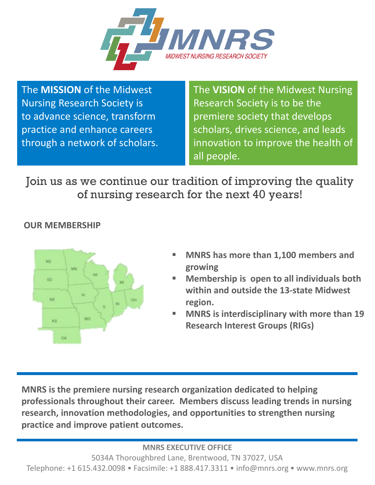

The **MISSION** of the Midwest Nursing Research Society is to advance science, transform practice and enhance careers through a network of scholars. The **VISION** of the Midwest Nursing Research Society is to be the premiere society that develops scholars, drives science, and leads innovation to improve the health of all people.

Join us as we continue our tradition of improving the quality of nursing research for the next 40 years!

### **OUR MEMBERSHIP**



- **MNRS has more than 1,100 members and growing**
- **Membership is open to all individuals both within and outside the 13-state Midwest region.**
- **MNRS is interdisciplinary with more than 19 Research Interest Groups (RIGs)**

**MNRS is the premiere nursing research organization dedicated to helping professionals throughout their career. Members discuss leading trends in nursing research, innovation methodologies, and opportunities to strengthen nursing practice and improve patient outcomes.**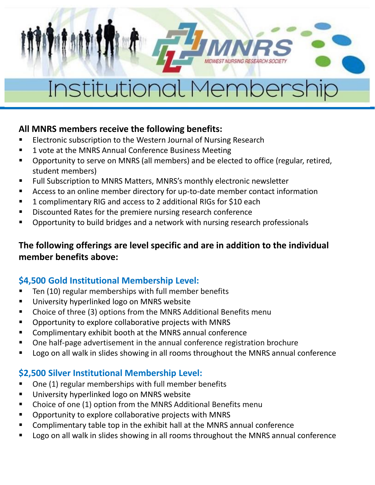### **All MNRS members receive the following benefits:**

- Electronic subscription to the Western Journal of Nursing Research
- 1 vote at the MNRS Annual Conference Business Meeting
- Opportunity to serve on MNRS (all members) and be elected to office (regular, retired, student members)
- Full Subscription to MNRS Matters, MNRS's monthly electronic newsletter
- Access to an online member directory for up-to-date member contact information
- 1 complimentary RIG and access to 2 additional RIGs for \$10 each
- Discounted Rates for the premiere nursing research conference
- Opportunity to build bridges and a network with nursing research professionals

### **The following offerings are level specific and are in addition to the individual member benefits above:**

### **\$4,500 Gold Institutional Membership Level:**

- Ten (10) regular memberships with full member benefits
- University hyperlinked logo on MNRS website
- Choice of three (3) options from the MNRS Additional Benefits menu
- Opportunity to explore collaborative projects with MNRS
- Complimentary exhibit booth at the MNRS annual conference
- One half-page advertisement in the annual conference registration brochure
- Logo on all walk in slides showing in all rooms throughout the MNRS annual conference

### **\$2,500 Silver Institutional Membership Level:**

- One (1) regular memberships with full member benefits
- University hyperlinked logo on MNRS website
- Choice of one (1) option from the MNRS Additional Benefits menu
- Opportunity to explore collaborative projects with MNRS
- Complimentary table top in the exhibit hall at the MNRS annual conference
- Logo on all walk in slides showing in all rooms throughout the MNRS annual conference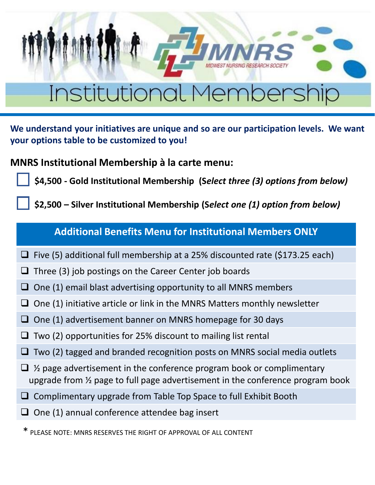**We understand your initiatives are unique and so are our participation levels. We want your options table to be customized to you!** 

**MNRS Institutional Membership à la carte menu:**

**\$4,500 - Gold Institutional Membership (S***elect three (3) options from below)* 

**\$2,500 – Silver Institutional Membership (S***elect one (1) option from below)*

### **Additional Benefits Menu for Institutional Members ONLY**

- ❑ Five (5) additional full membership at a 25% discounted rate (\$173.25 each)
- ❑ Three (3) job postings on the Career Center job boards
- $\Box$  One (1) email blast advertising opportunity to all MNRS members
- $\Box$  One (1) initiative article or link in the MNRS Matters monthly newsletter
- ❑ One (1) advertisement banner on MNRS homepage for 30 days
- $\Box$  Two (2) opportunities for 25% discount to mailing list rental
- $\Box$  Two (2) tagged and branded recognition posts on MNRS social media outlets
- $\Box$  % page advertisement in the conference program book or complimentary upgrade from ½ page to full page advertisement in the conference program book
- ❑ Complimentary upgrade from Table Top Space to full Exhibit Booth
- ❑ One (1) annual conference attendee bag insert

\* PLEASE NOTE: MNRS RESERVES THE RIGHT OF APPROVAL OF ALL CONTENT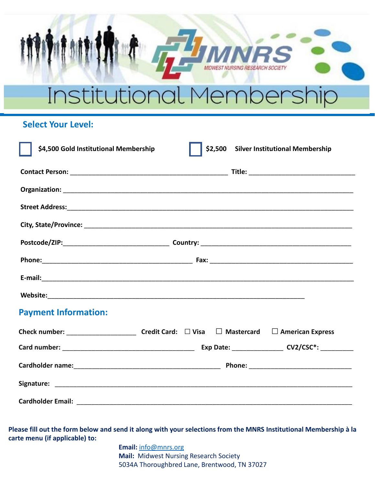#### **Select Your Level:**

| \$4,500 Gold Institutional Membership |  |  |  | \$2,500 Silver Institutional Membership |
|---------------------------------------|--|--|--|-----------------------------------------|
|                                       |  |  |  |                                         |
|                                       |  |  |  |                                         |
|                                       |  |  |  |                                         |
|                                       |  |  |  |                                         |
|                                       |  |  |  |                                         |
|                                       |  |  |  |                                         |
|                                       |  |  |  |                                         |
|                                       |  |  |  |                                         |
| <b>Payment Information:</b>           |  |  |  |                                         |
|                                       |  |  |  |                                         |
|                                       |  |  |  |                                         |
|                                       |  |  |  |                                         |
|                                       |  |  |  |                                         |
|                                       |  |  |  |                                         |

**Please fill out the form below and send it along with your selections from the MNRS Institutional Membership à la carte menu (if applicable) to:**

> **Email:** [info@mnrs.org](mailto:info@mnrs.org) **Mail:** Midwest Nursing Research Society 5034A Thoroughbred Lane, Brentwood, TN 37027